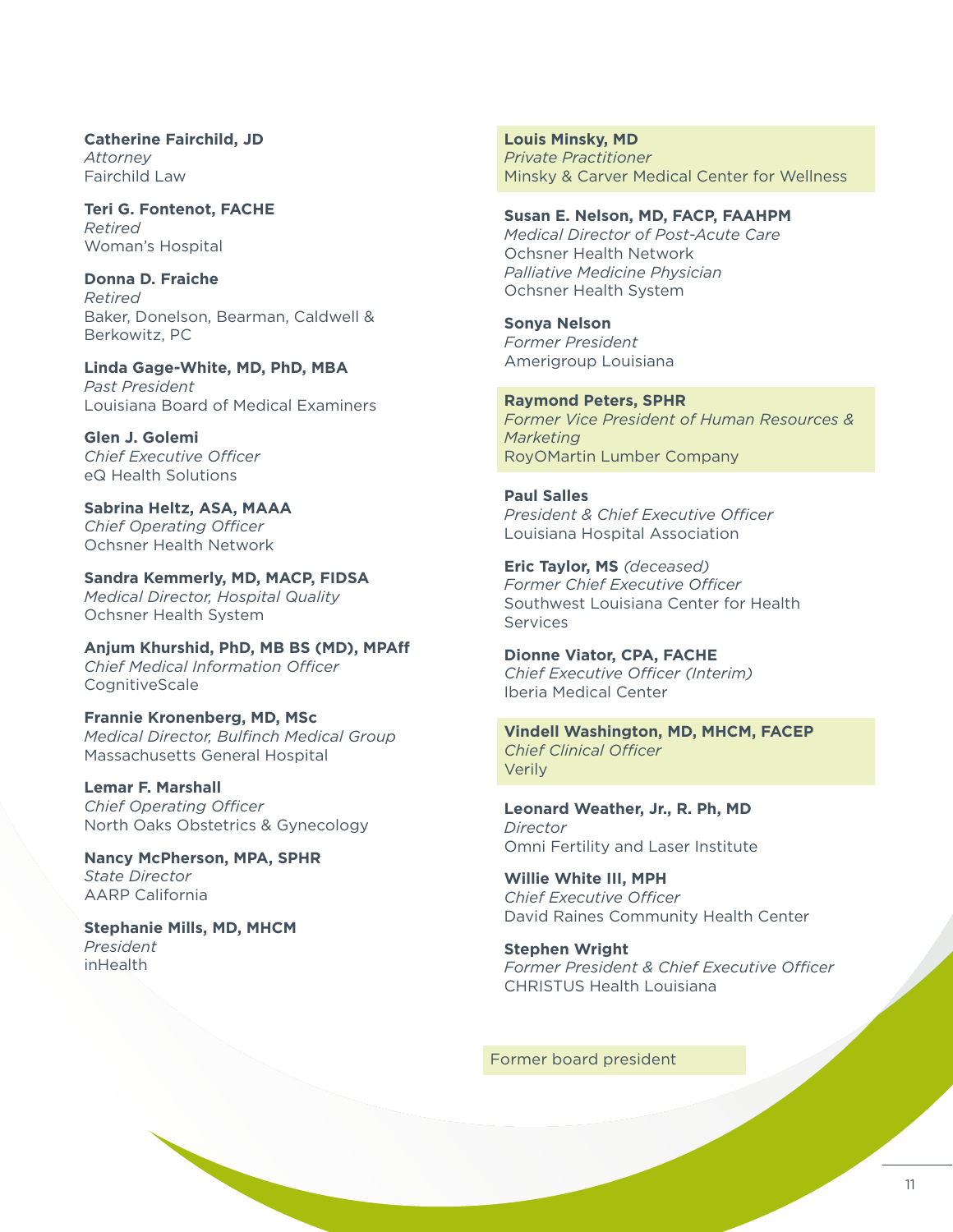**Catherine Fairchild, JD**  *Attorney*  Fairchild Law

**Teri G. Fontenot, FACHE**  *Retired*  Woman's Hospital

**Donna D. Fraiche**  *Retired* Baker, Donelson, Bearman, Caldwell & Berkowitz, PC

**Linda Gage-White, MD, PhD, MBA**  *Past President* Louisiana Board of Medical Examiners

**Glen J. Golemi** *Chief Executive Officer*  eQ Health Solutions

**Sabrina Heltz, ASA, MAAA**  *Chief Operating Officer*  Ochsner Health Network

**Sandra Kemmerly, MD, MACP, FIDSA**  *Medical Director, Hospital Quality*  Ochsner Health System

**Anjum Khurshid, PhD, MB BS (MD), MPAff**  *Chief Medical Information Officer*  **CognitiveScale** 

**Frannie Kronenberg, MD, MSc**  *Medical Director, Bulfinch Medical Group*  Massachusetts General Hospital

**Lemar F. Marshall**  *Chief Operating Officer*  North Oaks Obstetrics & Gynecology

**Nancy McPherson, MPA, SPHR**  *State Director*  AARP California

**Stephanie Mills, MD, MHCM**  *President*  inHealth

**Louis Minsky, MD**  *Private Practitioner*  Minsky & Carver Medical Center for Wellness

**Susan E. Nelson, MD, FACP, FAAHPM** 

*Medical Director of Post-Acute Care*  Ochsner Health Network *Palliative Medicine Physician*  Ochsner Health System

**Sonya Nelson**  *Former President*  Amerigroup Louisiana

**Raymond Peters, SPHR**  *Former Vice President of Human Resources & Marketing*  RoyOMartin Lumber Company

**Paul Salles**  *President & Chief Executive Officer*  Louisiana Hospital Association

**Eric Taylor, MS** *(deceased) Former Chief Executive Officer*  Southwest Louisiana Center for Health **Services** 

**Dionne Viator, CPA, FACHE**  *Chief Executive Officer (Interim)*  Iberia Medical Center

**Vindell Washington, MD, MHCM, FACEP**  *Chief Clinical Officer*  Verily

**Leonard Weather, Jr., R. Ph, MD**  *Director* Omni Fertility and Laser Institute

**Willie White III, MPH**  *Chief Executive Officer*  David Raines Community Health Center

**Stephen Wright**  *Former President & Chief Executive Officer*  CHRISTUS Health Louisiana

Former board president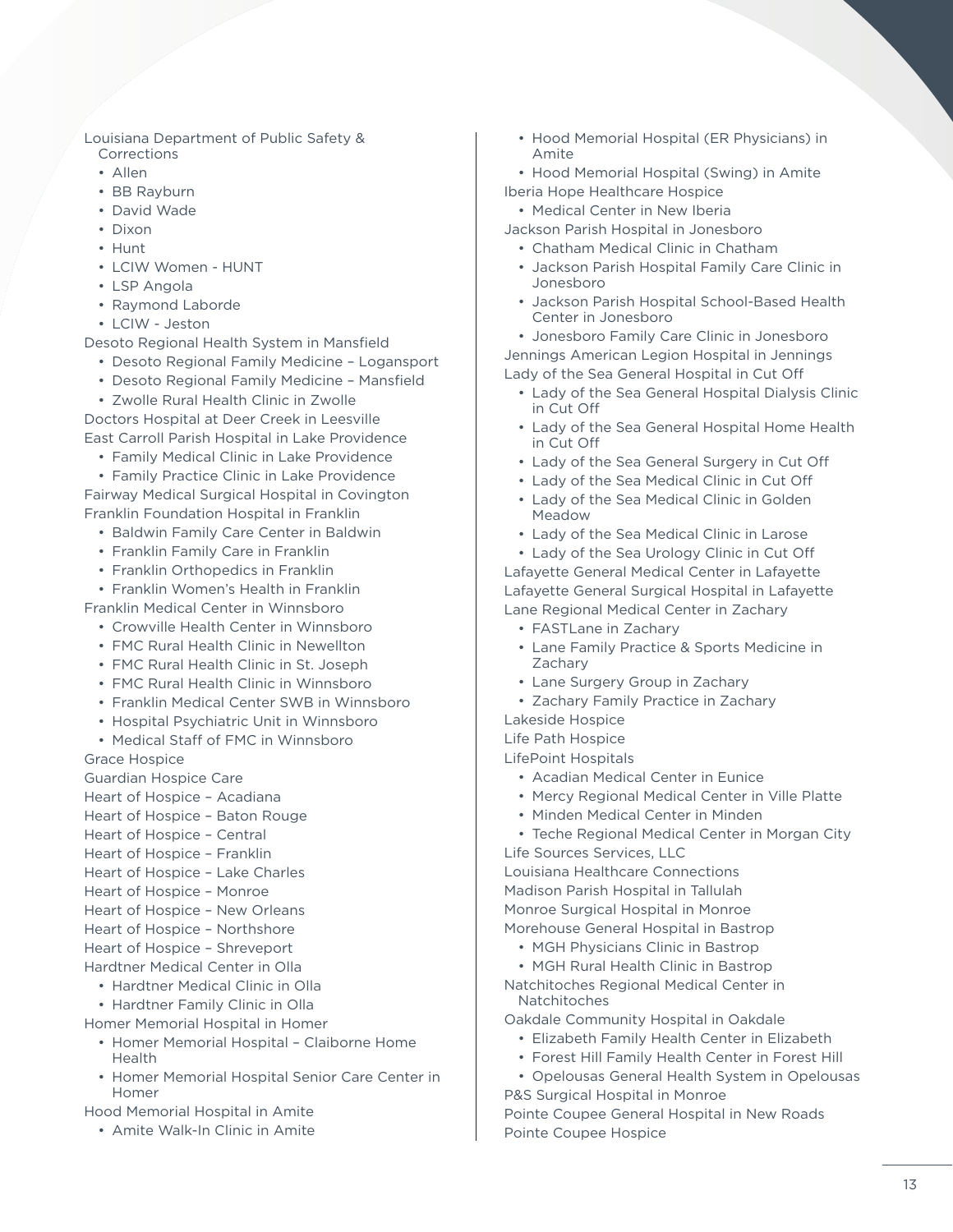Louisiana Department of Public Safety & Corrections

- Allen
- BB Rayburn
- David Wade
- Dixon
- Hunt
- LCIW Women HUNT
- LSP Angola
- Raymond Laborde
- LCIW Jeston

Desoto Regional Health System in Mansfield

- Desoto Regional Family Medicine Logansport
- Desoto Regional Family Medicine Mansfield
- Zwolle Rural Health Clinic in Zwolle

Doctors Hospital at Deer Creek in Leesville East Carroll Parish Hospital in Lake Providence

• Family Medical Clinic in Lake Providence

• Family Practice Clinic in Lake Providence

Fairway Medical Surgical Hospital in Covington Franklin Foundation Hospital in Franklin

- Baldwin Family Care Center in Baldwin
- Franklin Family Care in Franklin
- Franklin Orthopedics in Franklin

• Franklin Women's Health in Franklin

- Franklin Medical Center in Winnsboro
	- Crowville Health Center in Winnsboro
	- FMC Rural Health Clinic in Newellton
	- FMC Rural Health Clinic in St. Joseph
	- FMC Rural Health Clinic in Winnsboro
	- Franklin Medical Center SWB in Winnsboro
	- Hospital Psychiatric Unit in Winnsboro
	- Medical Staff of FMC in Winnsboro

Grace Hospice

Guardian Hospice Care

- Heart of Hospice Acadiana
- Heart of Hospice Baton Rouge
- Heart of Hospice Central
- Heart of Hospice Franklin
- Heart of Hospice Lake Charles
- Heart of Hospice Monroe
- Heart of Hospice New Orleans
- Heart of Hospice Northshore
- Heart of Hospice Shreveport
- Hardtner Medical Center in Olla
	- Hardtner Medical Clinic in Olla
	- Hardtner Family Clinic in Olla
- Homer Memorial Hospital in Homer
	- Homer Memorial Hospital Claiborne Home Health
	- Homer Memorial Hospital Senior Care Center in Homer

Hood Memorial Hospital in Amite

• Amite Walk-In Clinic in Amite

- Hood Memorial Hospital (ER Physicians) in Amite
- Hood Memorial Hospital (Swing) in Amite Iberia Hope Healthcare Hospice
	- Medical Center in New Iberia
- Jackson Parish Hospital in Jonesboro
	- Chatham Medical Clinic in Chatham
	- Jackson Parish Hospital Family Care Clinic in Jonesboro
	- Jackson Parish Hospital School-Based Health Center in Jonesboro

• Jonesboro Family Care Clinic in Jonesboro Jennings American Legion Hospital in Jennings Lady of the Sea General Hospital in Cut Off

- Lady of the Sea General Hospital Dialysis Clinic in Cut Off
- Lady of the Sea General Hospital Home Health in Cut Off
- Lady of the Sea General Surgery in Cut Off
- Lady of the Sea Medical Clinic in Cut Off
- Lady of the Sea Medical Clinic in Golden Meadow
- Lady of the Sea Medical Clinic in Larose

• Lady of the Sea Urology Clinic in Cut Off Lafayette General Medical Center in Lafayette Lafayette General Surgical Hospital in Lafayette Lane Regional Medical Center in Zachary

- FASTLane in Zachary
- Lane Family Practice & Sports Medicine in Zachary
- Lane Surgery Group in Zachary
- Zachary Family Practice in Zachary

Lakeside Hospice

Life Path Hospice

LifePoint Hospitals

- Acadian Medical Center in Eunice
- Mercy Regional Medical Center in Ville Platte
- Minden Medical Center in Minden
- Teche Regional Medical Center in Morgan City Life Sources Services, LLC

Louisiana Healthcare Connections Madison Parish Hospital in Tallulah Monroe Surgical Hospital in Monroe Morehouse General Hospital in Bastrop

- MGH Physicians Clinic in Bastrop
- MGH Rural Health Clinic in Bastrop

Natchitoches Regional Medical Center in Natchitoches

- Oakdale Community Hospital in Oakdale
	- Elizabeth Family Health Center in Elizabeth
	- Forest Hill Family Health Center in Forest Hill
- Opelousas General Health System in Opelousas P&S Surgical Hospital in Monroe

Pointe Coupee General Hospital in New Roads Pointe Coupee Hospice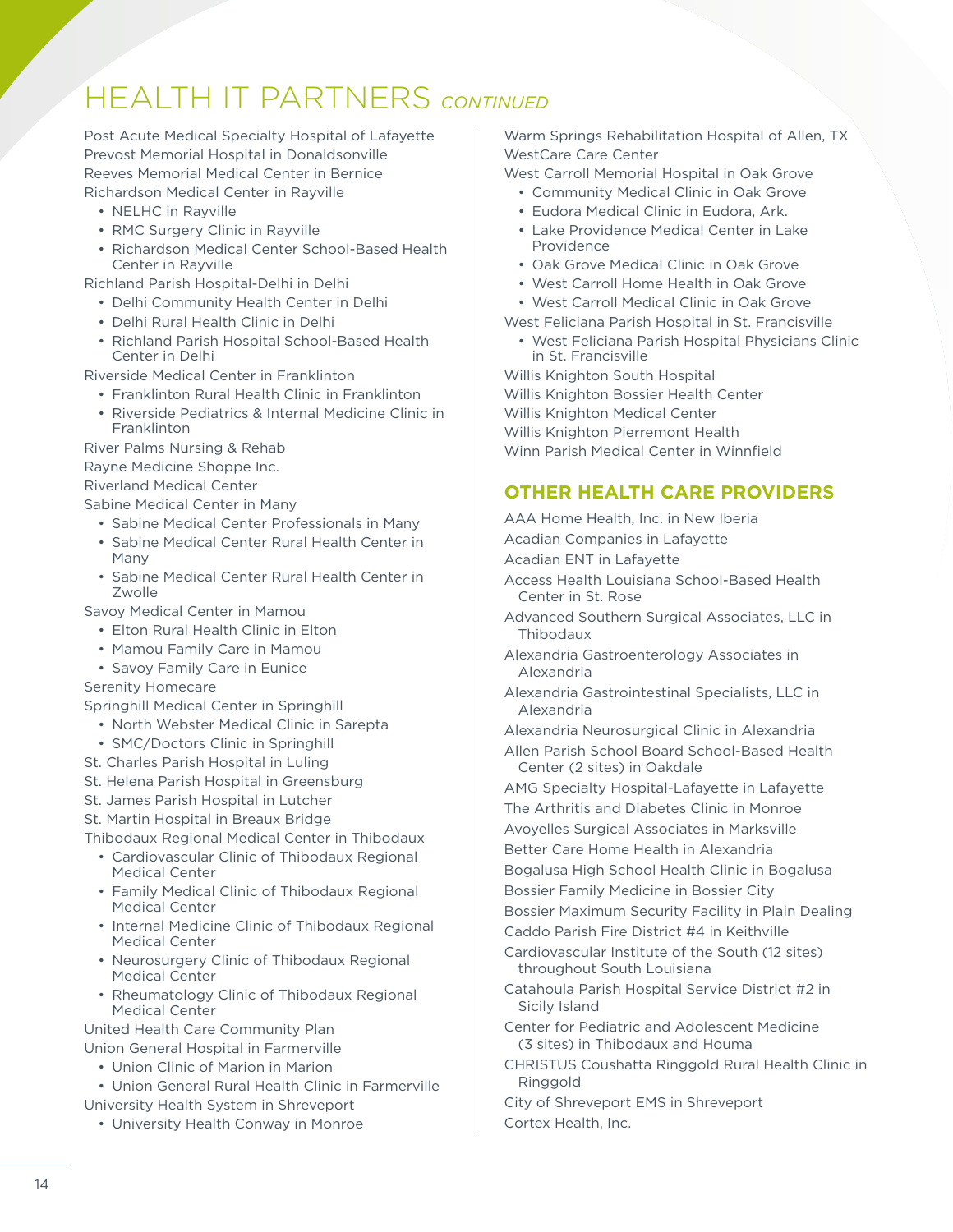## HEALTH IT PARTNERS *CONTINUED*

Post Acute Medical Specialty Hospital of Lafayette Prevost Memorial Hospital in Donaldsonville Reeves Memorial Medical Center in Bernice Richardson Medical Center in Rayville

- NELHC in Rayville
- RMC Surgery Clinic in Rayville
- Richardson Medical Center School-Based Health Center in Rayville

Richland Parish Hospital-Delhi in Delhi

- Delhi Community Health Center in Delhi
- Delhi Rural Health Clinic in Delhi
- Richland Parish Hospital School-Based Health Center in Delhi

Riverside Medical Center in Franklinton

- Franklinton Rural Health Clinic in Franklinton
- Riverside Pediatrics & Internal Medicine Clinic in Franklinton

River Palms Nursing & Rehab Rayne Medicine Shoppe Inc. Riverland Medical Center

Sabine Medical Center in Many

- Sabine Medical Center Professionals in Many
- Sabine Medical Center Rural Health Center in Many
- Sabine Medical Center Rural Health Center in Zwolle

Savoy Medical Center in Mamou

- Elton Rural Health Clinic in Elton
- Mamou Family Care in Mamou
- Savoy Family Care in Eunice
- Serenity Homecare

Springhill Medical Center in Springhill

- North Webster Medical Clinic in Sarepta
- SMC/Doctors Clinic in Springhill
- St. Charles Parish Hospital in Luling
- St. Helena Parish Hospital in Greensburg

St. James Parish Hospital in Lutcher

St. Martin Hospital in Breaux Bridge

Thibodaux Regional Medical Center in Thibodaux

- Cardiovascular Clinic of Thibodaux Regional Medical Center
- Family Medical Clinic of Thibodaux Regional Medical Center
- Internal Medicine Clinic of Thibodaux Regional Medical Center
- Neurosurgery Clinic of Thibodaux Regional Medical Center
- Rheumatology Clinic of Thibodaux Regional Medical Center

United Health Care Community Plan Union General Hospital in Farmerville

- Union Clinic of Marion in Marion
- Union General Rural Health Clinic in Farmerville
- University Health System in Shreveport
	- University Health Conway in Monroe

Warm Springs Rehabilitation Hospital of Allen, TX WestCare Care Center

- West Carroll Memorial Hospital in Oak Grove • Community Medical Clinic in Oak Grove
	- Eudora Medical Clinic in Eudora, Ark.
	- Lake Providence Medical Center in Lake Providence
	- Oak Grove Medical Clinic in Oak Grove
	- West Carroll Home Health in Oak Grove
- West Carroll Medical Clinic in Oak Grove
- West Feliciana Parish Hospital in St. Francisville
	- West Feliciana Parish Hospital Physicians Clinic in St. Francisville

Willis Knighton South Hospital Willis Knighton Bossier Health Center Willis Knighton Medical Center Willis Knighton Pierremont Health Winn Parish Medical Center in Winnfield

## **OTHER HEALTH CARE PROVIDERS**

AAA Home Health, Inc. in New Iberia Acadian Companies in Lafayette Acadian ENT in Lafayette Access Health Louisiana School-Based Health Center in St. Rose Advanced Southern Surgical Associates, LLC in Thibodaux Alexandria Gastroenterology Associates in Alexandria Alexandria Gastrointestinal Specialists, LLC in Alexandria Alexandria Neurosurgical Clinic in Alexandria

- Allen Parish School Board School-Based Health Center (2 sites) in Oakdale
- AMG Specialty Hospital-Lafayette in Lafayette
- The Arthritis and Diabetes Clinic in Monroe
- Avoyelles Surgical Associates in Marksville
- Better Care Home Health in Alexandria
- Bogalusa High School Health Clinic in Bogalusa

Bossier Family Medicine in Bossier City

Bossier Maximum Security Facility in Plain Dealing

Caddo Parish Fire District #4 in Keithville

Cardiovascular Institute of the South (12 sites) throughout South Louisiana

- Catahoula Parish Hospital Service District #2 in Sicily Island
- Center for Pediatric and Adolescent Medicine (3 sites) in Thibodaux and Houma
- CHRISTUS Coushatta Ringgold Rural Health Clinic in Ringgold
- City of Shreveport EMS in Shreveport Cortex Health, Inc.